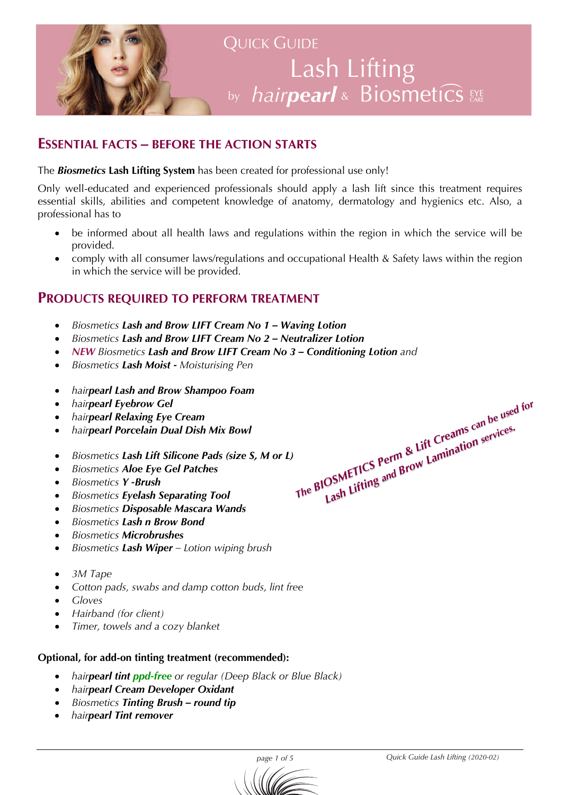

# **QUICK GUIDE** Lash Lifting by *hairpearl* & Biosmetics EXE

#### **ESSENTIAL FACTS – BEFORE THE ACTION STARTS**

The *Biosmetics* **Lash Lifting System** has been created for professional use only!

Only well-educated and experienced professionals should apply a lash lift since this treatment requires essential skills, abilities and competent knowledge of anatomy, dermatology and hygienics etc. Also, a professional has to

- be informed about all health laws and regulations within the region in which the service will be provided.
- comply with all consumer laws/regulations and occupational Health & Safety laws within the region in which the service will be provided.

#### **PRODUCTS REQUIRED TO PERFORM TREATMENT**

- *Biosmetics Lash and Brow LIFT Cream No 1 – Waving Lotion*
- *Biosmetics Lash and Brow LIFT Cream No 2 – Neutralizer Lotion*
- *NEW Biosmetics Lash and Brow LIFT Cream No 3 – Conditioning Lotion and*
- *Biosmetics Lash Moist - Moisturising Pen*
- *hairpearl Lash and Brow Shampoo Foam*
- *hairpearl Eyebrow Gel*
- *hairpearl Relaxing Eye Cream*
- *hairpearl Porcelain Dual Dish Mix Bowl*
- *Biosmetics Lash Lift Silicone Pads (size S, M or L)*
- *Biosmetics Aloe Eye Gel Patches*
- *Biosmetics Y -Brush*
- *Biosmetics Eyelash Separating Tool*
- *Biosmetics Disposable Mascara Wands*
- *Biosmetics Lash n Brow Bond*
- *Biosmetics Microbrushes*
- *Biosmetics Lash Wiper – Lotion wiping brush*
- *3M Tape*
- *Cotton pads, swabs and damp cotton buds, lint free*
- *Gloves*
- *Hairband (for client)*
- *Timer, towels and a cozy blanket*

#### **Optional, for add-on tinting treatment (recommended):**

- *hairpearl tint ppd-free or regular (Deep Black or Blue Black)*
- *hairpearl Cream Developer Oxidant*
- *Biosmetics Tinting Brush – round tip*
- *hairpearl Tint remover*

*The BIOSMETICS Perm & Lift Creams can be used for Lash Lifting and Brow Lamination services.*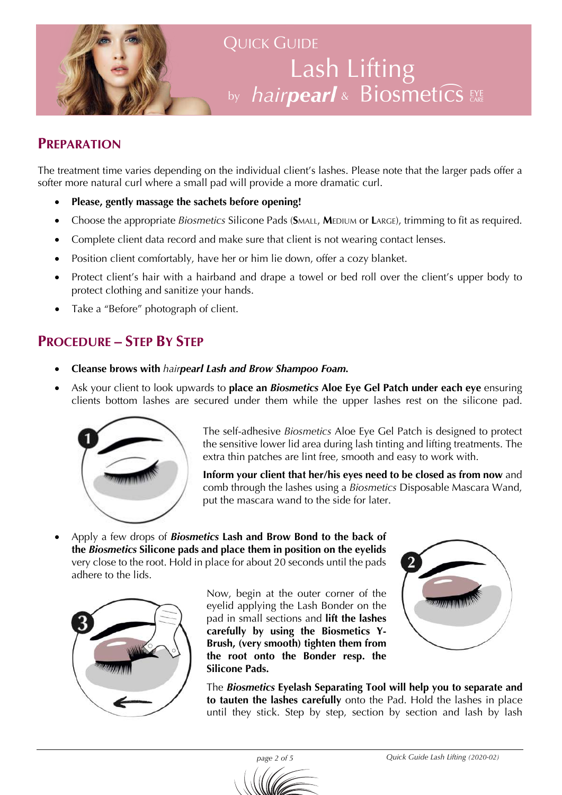

# QUICK GUIDE Lash Lifting by *hairpearl* & Biosmetics EXE

#### **PREPARATION**

The treatment time varies depending on the individual client's lashes. Please note that the larger pads offer a softer more natural curl where a small pad will provide a more dramatic curl.

- **Please, gently massage the sachets before opening!**
- Choose the appropriate *Biosmetics* Silicone Pads (SMALL, MEDIUM or LARGE), trimming to fit as required.
- Complete client data record and make sure that client is not wearing contact lenses.
- Position client comfortably, have her or him lie down, offer a cozy blanket.
- Protect client's hair with a hairband and drape a towel or bed roll over the client's upper body to protect clothing and sanitize your hands.
- Take a "Before" photograph of client.

#### **PROCEDURE – STEP BY STEP**

- **Cleanse brows with** *hairpearl Lash and Brow Shampoo Foam.*
- Ask your client to look upwards to **place an** *Biosmetics* **Aloe Eye Gel Patch under each eye** ensuring clients bottom lashes are secured under them while the upper lashes rest on the silicone pad.



The self-adhesive *Biosmetics* Aloe Eye Gel Patch is designed to protect the sensitive lower lid area during lash tinting and lifting treatments. The extra thin patches are lint free, smooth and easy to work with.

**Inform your client that her/his eyes need to be closed as from now** and comb through the lashes using a *Biosmetics* Disposable Mascara Wand, put the mascara wand to the side for later.

• Apply a few drops of *Biosmetics* **Lash and Brow Bond to the back of the** *Biosmetics* **Silicone pads and place them in position on the eyelids** very close to the root. Hold in place for about 20 seconds until the pads adhere to the lids.



Now, begin at the outer corner of the eyelid applying the Lash Bonder on the pad in small sections and **lift the lashes carefully by using the Biosmetics Y-Brush, (very smooth) tighten them from the root onto the Bonder resp. the Silicone Pads.** 



The *Biosmetics* **Eyelash Separating Tool will help you to separate and to tauten the lashes carefully** onto the Pad. Hold the lashes in place until they stick. Step by step, section by section and lash by lash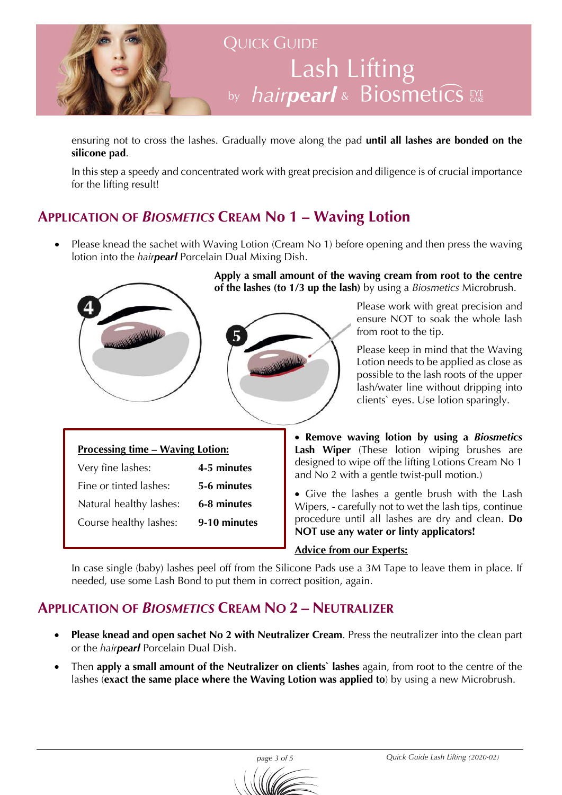

ensuring not to cross the lashes. Gradually move along the pad **until all lashes are bonded on the silicone pad**.

In this step a speedy and concentrated work with great precision and diligence is of crucial importance for the lifting result!

## **APPLICATION OF** *BIOSMETICS* **CREAM No 1 – Waving Lotion**

• Please knead the sachet with Waving Lotion (Cream No 1) before opening and then press the waving lotion into the *hairpearl* Porcelain Dual Mixing Dish.



**Apply a small amount of the waving cream from root to the centre of the lashes (to 1/3 up the lash)** by using a *Biosmetics* Microbrush.



Please work with great precision and ensure NOT to soak the whole lash from root to the tip.

Please keep in mind that the Waving Lotion needs to be applied as close as possible to the lash roots of the upper lash/water line without dripping into clients` eyes. Use lotion sparingly.

| <b>Processing time – Waving Lotion:</b> |             |
|-----------------------------------------|-------------|
| Very fine lashes:                       | 4-5 minutes |

| Fine or tinted lashes:  | 5-6 minutes |
|-------------------------|-------------|
| Natural healthy lashes: | 6-8 minutes |

Course healthy lashes: **9-10 minutes**

• **Remove waving lotion by using a** *Biosmetics* **Lash Wiper** (These lotion wiping brushes are designed to wipe off the lifting Lotions Cream No 1 and No 2 with a gentle twist-pull motion.)

• Give the lashes a gentle brush with the Lash Wipers, - carefully not to wet the lash tips, continue procedure until all lashes are dry and clean. **Do NOT use any water or linty applicators!**

#### **Advice from our Experts:**

In case single (baby) lashes peel off from the Silicone Pads use a 3M Tape to leave them in place. If needed, use some Lash Bond to put them in correct position, again.

## **APPLICATION OF** *BIOSMETICS* **CREAM NO 2 – NEUTRALIZER**

- **Please knead and open sachet No 2 with Neutralizer Cream**. Press the neutralizer into the clean part or the *hairpearl* Porcelain Dual Dish.
- Then **apply a small amount of the Neutralizer on clients` lashes** again, from root to the centre of the lashes (**exact the same place where the Waving Lotion was applied to**) by using a new Microbrush.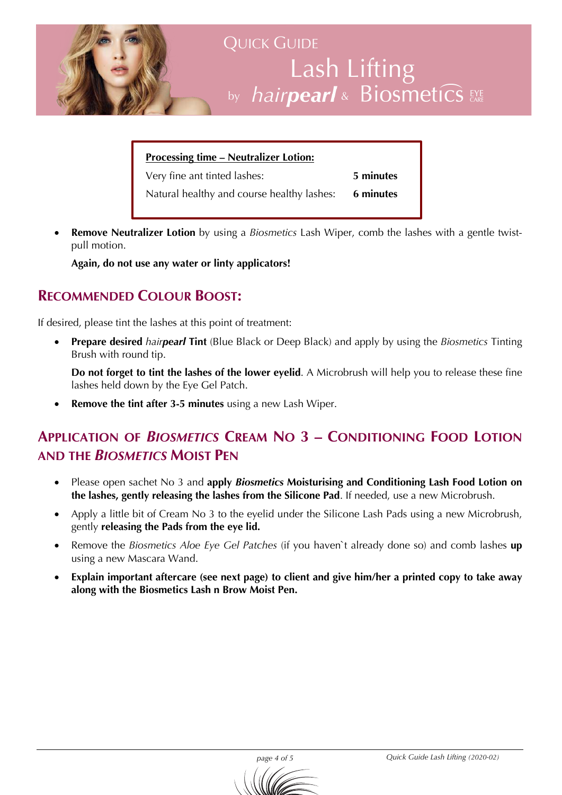

| <b>Processing time – Neutralizer Lotion:</b>         |           |  |
|------------------------------------------------------|-----------|--|
| Very fine ant tinted lashes:                         | 5 minutes |  |
| Natural healthy and course healthy lashes: 6 minutes |           |  |

• **Remove Neutralizer Lotion** by using a *Biosmetics* Lash Wiper, comb the lashes with a gentle twistpull motion.

**Again, do not use any water or linty applicators!**

### **RECOMMENDED COLOUR BOOST:**

If desired, please tint the lashes at this point of treatment:

• **Prepare desired** *hairpearl* **Tint** (Blue Black or Deep Black) and apply by using the *Biosmetics* Tinting Brush with round tip.

**Do not forget to tint the lashes of the lower eyelid**. A Microbrush will help you to release these fine lashes held down by the Eye Gel Patch.

• **Remove the tint after 3-5 minutes** using a new Lash Wiper.

## **APPLICATION OF** *BIOSMETICS* **CREAM NO 3 – CONDITIONING FOOD LOTION AND THE** *BIOSMETICS* **MOIST PEN**

- Please open sachet No 3 and **apply** *Biosmetics* **Moisturising and Conditioning Lash Food Lotion on the lashes, gently releasing the lashes from the Silicone Pad**. If needed, use a new Microbrush.
- Apply a little bit of Cream No 3 to the eyelid under the Silicone Lash Pads using a new Microbrush, gently **releasing the Pads from the eye lid.**
- Remove the *Biosmetics Aloe Eye Gel Patches* (if you haven`t already done so) and comb lashes **up** using a new Mascara Wand.
- **Explain important aftercare (see next page) to client and give him/her a printed copy to take away along with the Biosmetics Lash n Brow Moist Pen.**